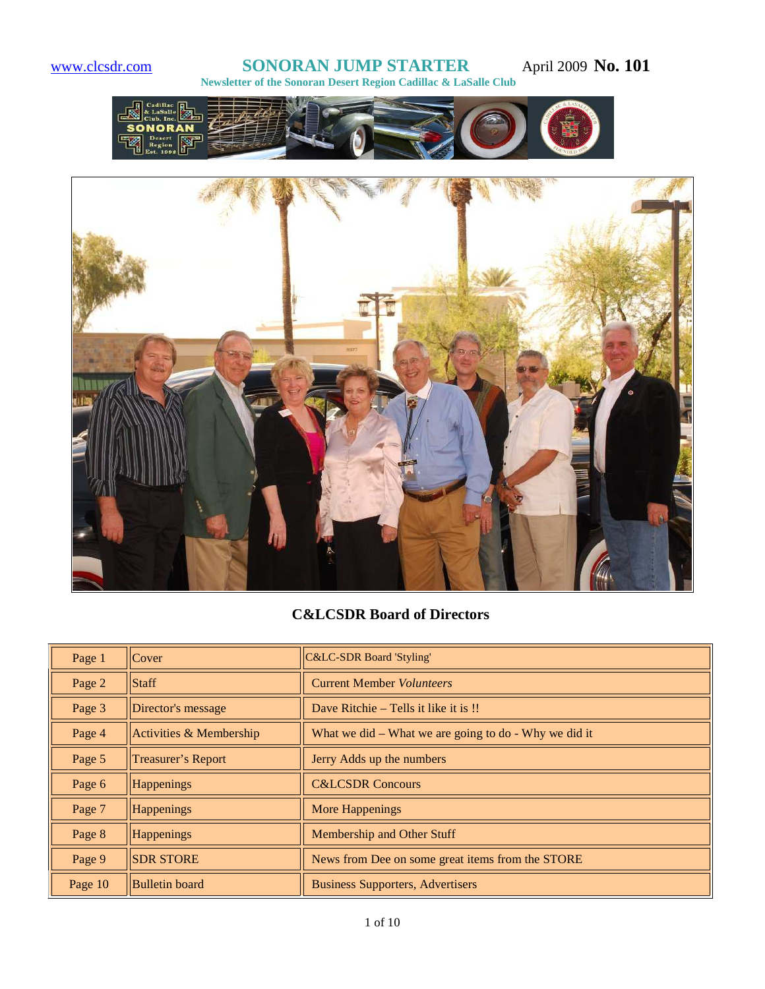#### **www.clcsdr.com <b>SONORAN JUMP STARTER** April 2009 **No. 101 Newsletter of the Sonoran Desert Region Cadillac & LaSalle Club**





# **C&LCSDR Board of Directors**

| Page 1  | Cover                   | <b>C&amp;LC-SDR Board 'Styling'</b>                       |
|---------|-------------------------|-----------------------------------------------------------|
| Page 2  | Staff                   | <b>Current Member Volunteers</b>                          |
| Page 3  | Director's message      | Dave Ritchie – Tells it like it is !!                     |
| Page 4  | Activities & Membership | What we did $-$ What we are going to do $-$ Why we did it |
| Page 5  | Treasurer's Report      | Jerry Adds up the numbers                                 |
| Page 6  | Happenings              | <b>C&amp;LCSDR Concours</b>                               |
| Page 7  | Happenings              | <b>More Happenings</b>                                    |
| Page 8  | Happenings              | Membership and Other Stuff                                |
| Page 9  | <b>SDR STORE</b>        | News from Dee on some great items from the STORE          |
| Page 10 | <b>Bulletin</b> board   | <b>Business Supporters, Advertisers</b>                   |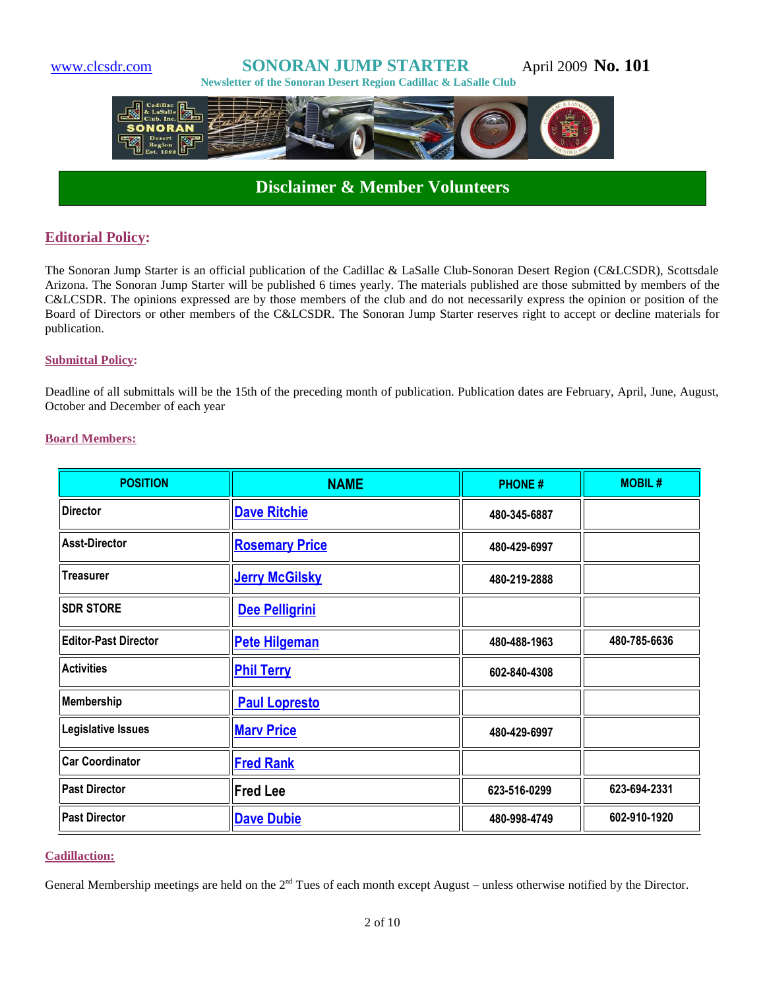

# **Disclaimer & Member Volunteers**

#### **Editorial Policy:**

The Sonoran Jump Starter is an official publication of the Cadillac & LaSalle Club-Sonoran Desert Region (C&LCSDR), Scottsdale Arizona. The Sonoran Jump Starter will be published 6 times yearly. The materials published are those submitted by members of the C&LCSDR. The opinions expressed are by those members of the club and do not necessarily express the opinion or position of the Board of Directors or other members of the C&LCSDR. The Sonoran Jump Starter reserves right to accept or decline materials for publication.

#### **Submittal Policy:**

Deadline of all submittals will be the 15th of the preceding month of publication. Publication dates are February, April, June, August, October and December of each year

#### **Board Members:**

| <b>POSITION</b>             | <b>NAME</b>           | <b>PHONE#</b> | <b>MOBIL#</b> |
|-----------------------------|-----------------------|---------------|---------------|
| <b>Director</b>             | <b>Dave Ritchie</b>   | 480-345-6887  |               |
| <b>Asst-Director</b>        | <b>Rosemary Price</b> | 480-429-6997  |               |
| <b>Treasurer</b>            | <b>Jerry McGilsky</b> | 480-219-2888  |               |
| <b>SDR STORE</b>            | Dee Pelligrini        |               |               |
| <b>Editor-Past Director</b> | <b>Pete Hilgeman</b>  | 480-488-1963  | 480-785-6636  |
| <b>Activities</b>           | <b>Phil Terry</b>     | 602-840-4308  |               |
| Membership                  | <b>Paul Lopresto</b>  |               |               |
| Legislative Issues          | <b>Mary Price</b>     | 480-429-6997  |               |
| <b>Car Coordinator</b>      | <b>Fred Rank</b>      |               |               |
| <b>Past Director</b>        | <b>Fred Lee</b>       | 623-516-0299  | 623-694-2331  |
| <b>Past Director</b>        | <b>Dave Dubie</b>     | 480-998-4749  | 602-910-1920  |

#### **Cadillaction:**

General Membership meetings are held on the 2<sup>nd</sup> Tues of each month except August – unless otherwise notified by the Director.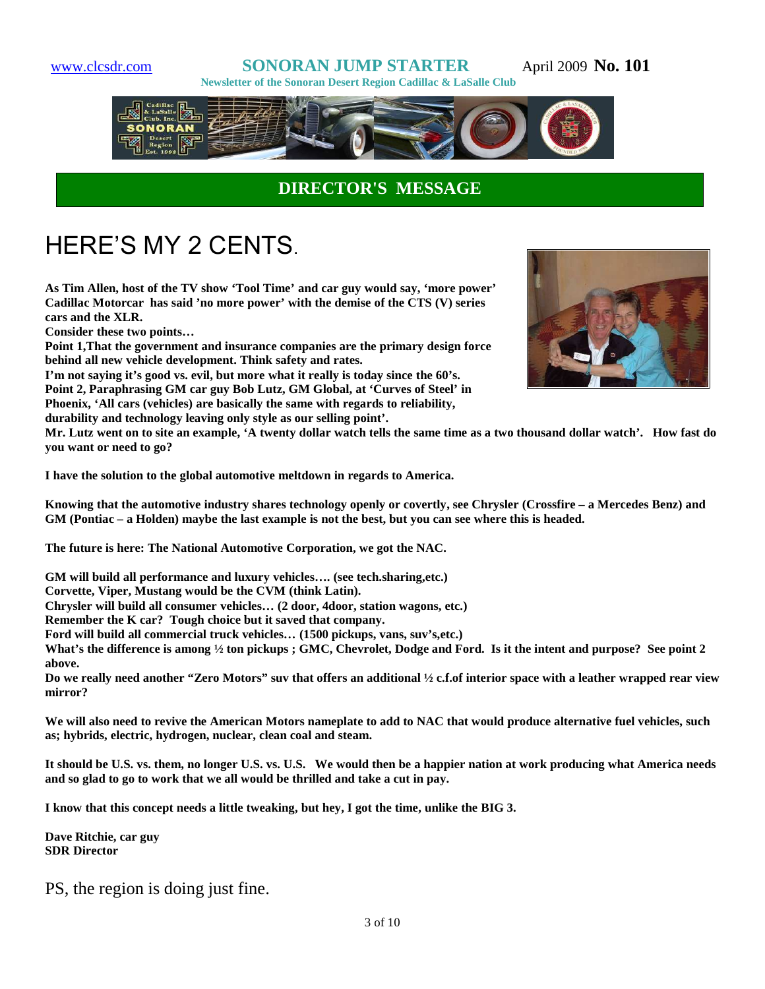# www.clcsdr.com **SONORAN JUMP STARTER** April 2009 **No. 101**





# **DIRECTOR'S MESSAGE**

# HERE'S MY 2 CENTS.

**As Tim Allen, host of the TV show 'Tool Time' and car guy would say, 'more power' Cadillac Motorcar has said 'no more power' with the demise of the CTS (V) series cars and the XLR.**

**Consider these two points…**

**Point 1,That the government and insurance companies are the primary design force behind all new vehicle development. Think safety and rates.**

**I'm not saying it's good vs. evil, but more what it really is today since the 60's. Point 2, Paraphrasing GM car guy Bob Lutz, GM Global, at 'Curves of Steel' in Phoenix, 'All cars (vehicles) are basically the same with regards to reliability,**

**durability and technology leaving only style as our selling point'.** 



**Mr. Lutz went on to site an example, 'A twenty dollar watch tells the same time as a two thousand dollar watch'. How fast do you want or need to go?** 

**I have the solution to the global automotive meltdown in regards to America.**

**Knowing that the automotive industry shares technology openly or covertly, see Chrysler (Crossfire – a Mercedes Benz) and GM (Pontiac – a Holden) maybe the last example is not the best, but you can see where this is headed.** 

**The future is here: The National Automotive Corporation, we got the NAC.**

**GM will build all performance and luxury vehicles…. (see tech.sharing,etc.)**

**Corvette, Viper, Mustang would be the CVM (think Latin).**

**Chrysler will build all consumer vehicles… (2 door, 4door, station wagons, etc.)**

**Remember the K car? Tough choice but it saved that company.**

**Ford will build all commercial truck vehicles… (1500 pickups, vans, suv's,etc.)** 

**What's the difference is among ½ ton pickups ; GMC, Chevrolet, Dodge and Ford. Is it the intent and purpose? See point 2 above.**

**Do we really need another "Zero Motors" suv that offers an additional ½ c.f.of interior space with a leather wrapped rear view mirror?**

**We will also need to revive the American Motors nameplate to add to NAC that would produce alternative fuel vehicles, such as; hybrids, electric, hydrogen, nuclear, clean coal and steam.**

**It should be U.S. vs. them, no longer U.S. vs. U.S. We would then be a happier nation at work producing what America needs and so glad to go to work that we all would be thrilled and take a cut in pay.**

**I know that this concept needs a little tweaking, but hey, I got the time, unlike the BIG 3.**

**Dave Ritchie, car guy SDR Director**

PS, the region is doing just fine.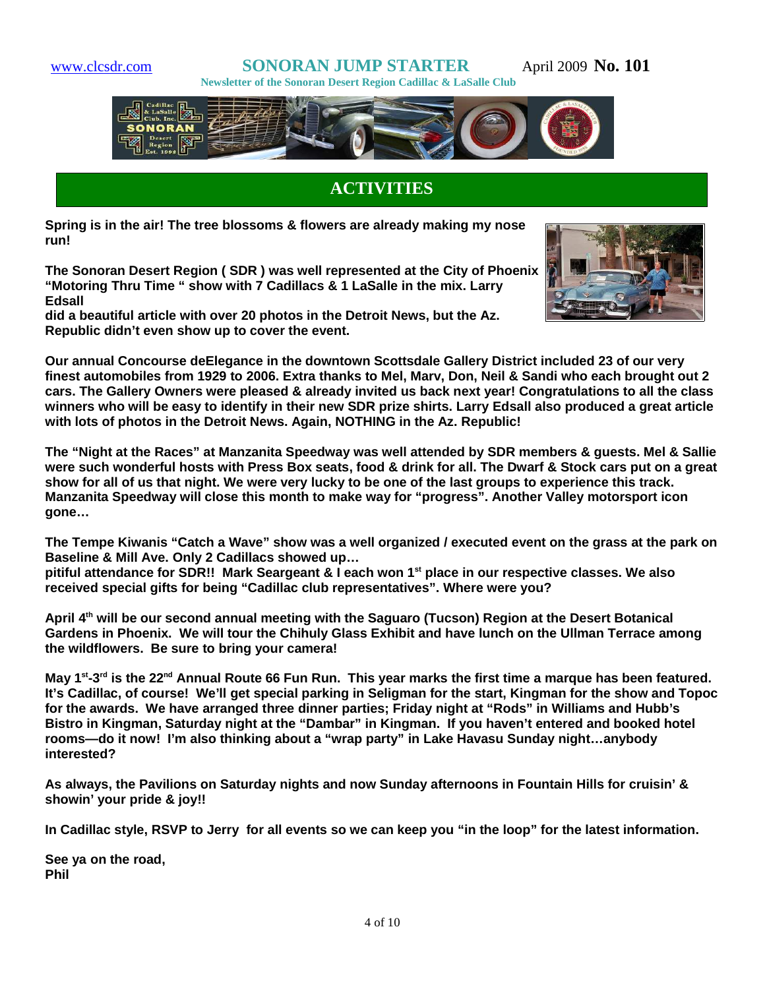www.clcsdr.com **SONORAN JUMP STARTER** April 2009 **No. 101 Newsletter of the Sonoran Desert Region Cadillac & LaSalle Club**



# **ACTIVITIES**

**Spring is in the air! The tree blossoms & flowers are already making my nose run!**

**The Sonoran Desert Region ( SDR ) was well represented at the City of Phoenix "Motoring Thru Time " show with 7 Cadillacs & 1 LaSalle in the mix. Larry Edsall**

**did a beautiful article with over 20 photos in the Detroit News, but the Az. Republic didn't even show up to cover the event.**



**Our annual Concourse deElegance in the downtown Scottsdale Gallery District included 23 of our very finest automobiles from 1929 to 2006. Extra thanks to Mel, Marv, Don, Neil & Sandi who each brought out 2 cars. The Gallery Owners were pleased & already invited us back next year! Congratulations to all the class winners who will be easy to identify in their new SDR prize shirts. Larry Edsall also produced a great article with lots of photos in the Detroit News. Again, NOTHING in the Az. Republic!**

**The "Night at the Races" at Manzanita Speedway was well attended by SDR members & guests. Mel & Sallie were such wonderful hosts with Press Box seats, food & drink for all. The Dwarf & Stock cars put on a great show for all of us that night. We were very lucky to be one of the last groups to experience this track. Manzanita Speedway will close this month to make way for "progress". Another Valley motorsport icon gone…**

**The Tempe Kiwanis "Catch a Wave" show was a well organized / executed event on the grass at the park on Baseline & Mill Ave. Only 2 Cadillacs showed up…**

**pitiful attendance for SDR!! Mark Seargeant & I each won 1st place in our respective classes. We also received special gifts for being "Cadillac club representatives". Where were you?**

**April 4th will be our second annual meeting with the Saguaro (Tucson) Region at the Desert Botanical Gardens in Phoenix. We will tour the Chihuly Glass Exhibit and have lunch on the Ullman Terrace among the wildflowers. Be sure to bring your camera!**

**May 1st-3rd is the 22nd Annual Route 66 Fun Run. This year marks the first time a marque has been featured. It's Cadillac, of course! We'll get special parking in Seligman for the start, Kingman for the show and Topoc for the awards. We have arranged three dinner parties; Friday night at "Rods" in Williams and Hubb's Bistro in Kingman, Saturday night at the "Dambar" in Kingman. If you haven't entered and booked hotel rooms—do it now! I'm also thinking about a "wrap party" in Lake Havasu Sunday night…anybody interested?**

**As always, the Pavilions on Saturday nights and now Sunday afternoons in Fountain Hills for cruisin' & showin' your pride & joy!!**

**In Cadillac style, RSVP to Jerry for all events so we can keep you "in the loop" for the latest information.**

**See ya on the road, Phil**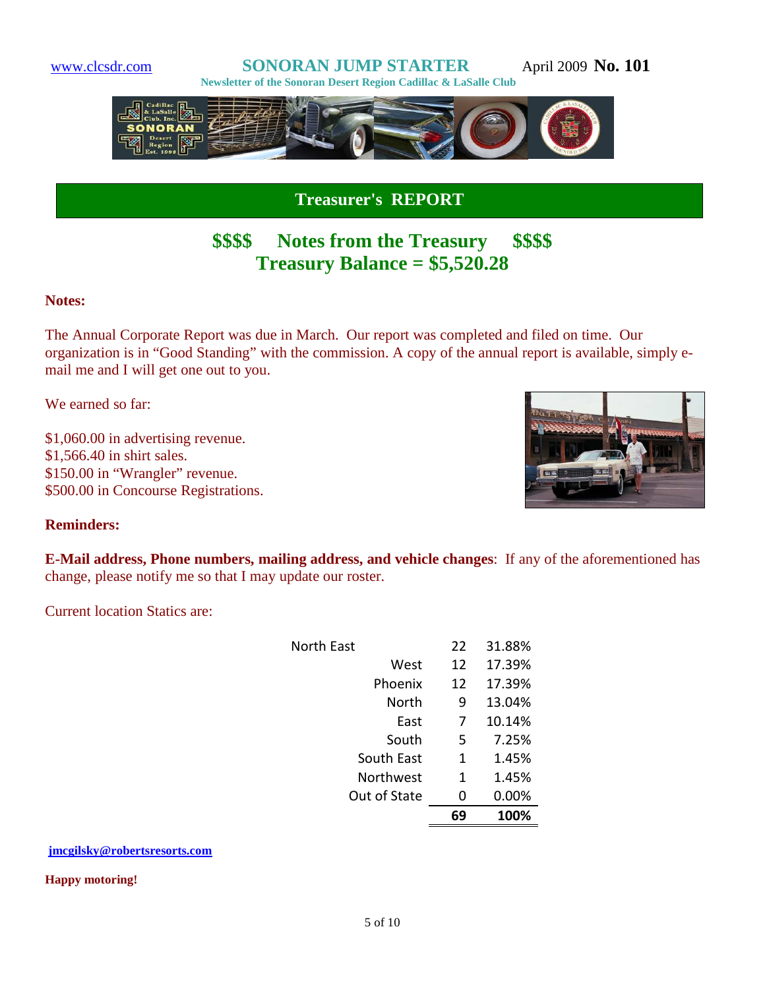

**Treasurer's REPORT**

# **\$\$\$\$ Notes from the Treasury \$\$\$\$ Treasury Balance = \$5,520.28**

### **Notes:**

The Annual Corporate Report was due in March. Our report was completed and filed on time. Our organization is in "Good Standing" with the commission. A copy of the annual report is available, simply email me and I will get one out to you.

We earned so far:

\$1,060.00 in advertising revenue. \$1,566.40 in shirt sales. \$150.00 in "Wrangler" revenue. \$500.00 in Concourse Registrations.

I



### **Reminders:**

**E-Mail address, Phone numbers, mailing address, and vehicle changes**: If any of the aforementioned has change, please notify me so that I may update our roster.

Current location Statics are:

| North Fast   | 22 | 31.88% |
|--------------|----|--------|
| West         | 12 | 17.39% |
| Phoenix      | 12 | 17.39% |
| North        | 9  | 13.04% |
| East         | 7  | 10.14% |
| South        | 5  | 7.25%  |
| South East   | 1  | 1.45%  |
| Northwest    | 1  | 1.45%  |
| Out of State | 0  | 0.00%  |
|              | 69 | 100%   |

#### **jmcgilsky@robertsresorts.com**

#### **Happy motoring!**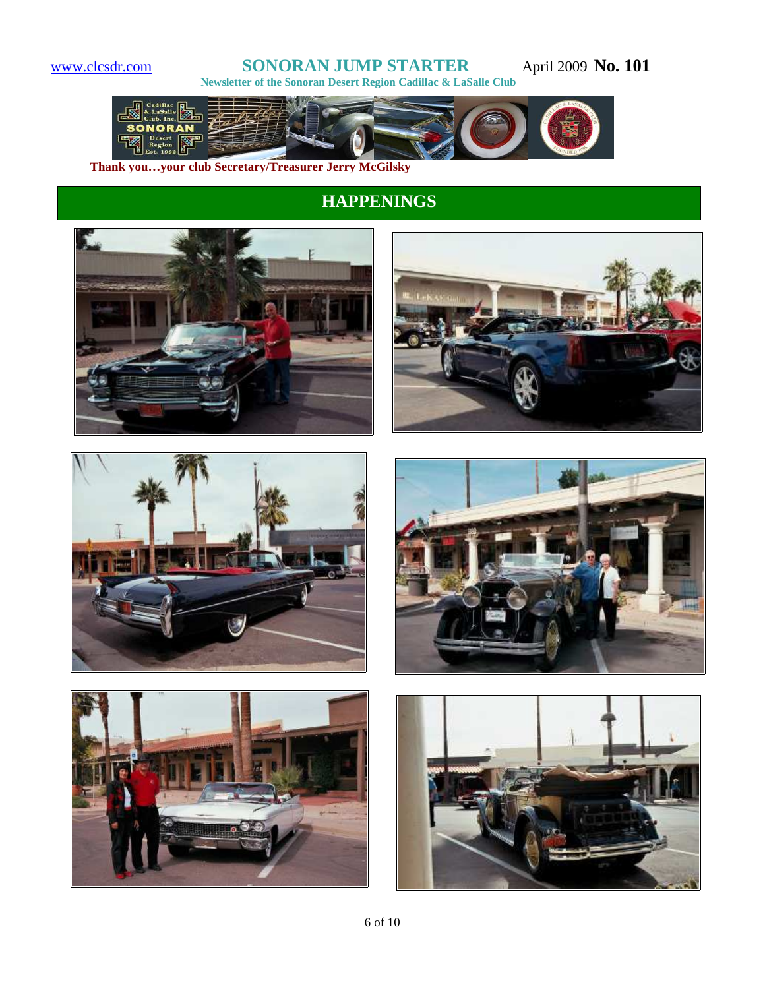# www.clcsdr.com **SONORAN JUMP STARTER** April 2009 **No. 101**

 **Newsletter of the Sonoran Desert Region Cadillac & LaSalle Club** 



**Thank you…your club Secretary/Treasurer Jerry McGilsky**

# **HAPPENINGS**











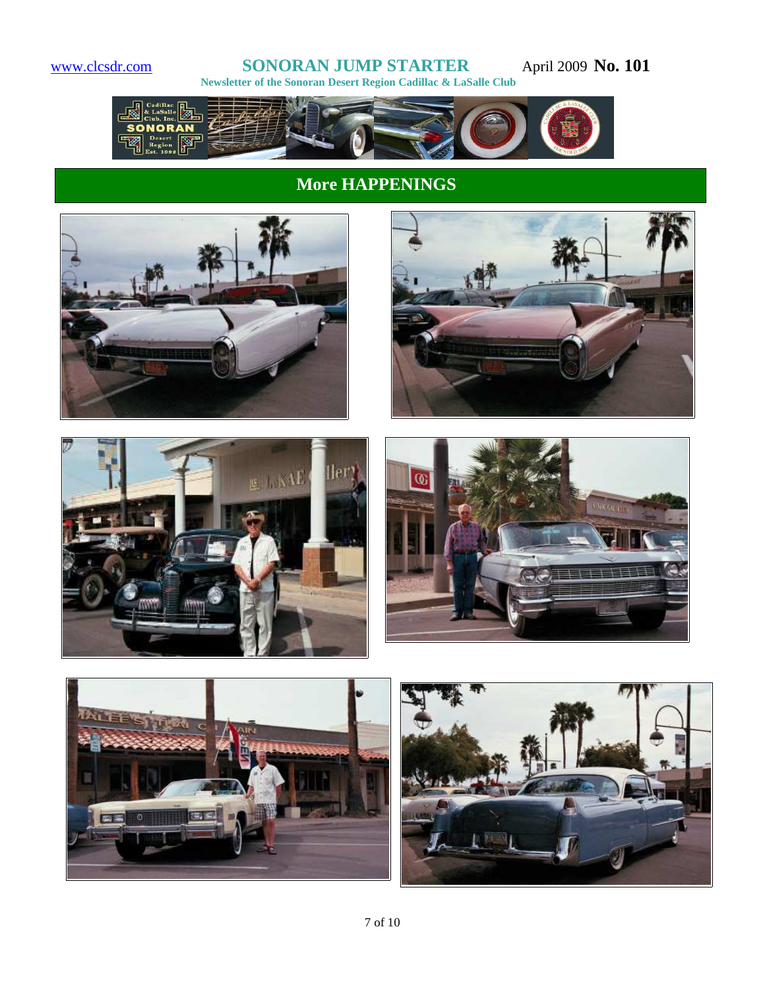#### www.clcsdr.com **SONORAN JUMP STARTER** April 2009 **No. 101 Newsletter of the Sonoran Desert Region Cadillac & LaSalle Club**



# **More HAPPENINGS**











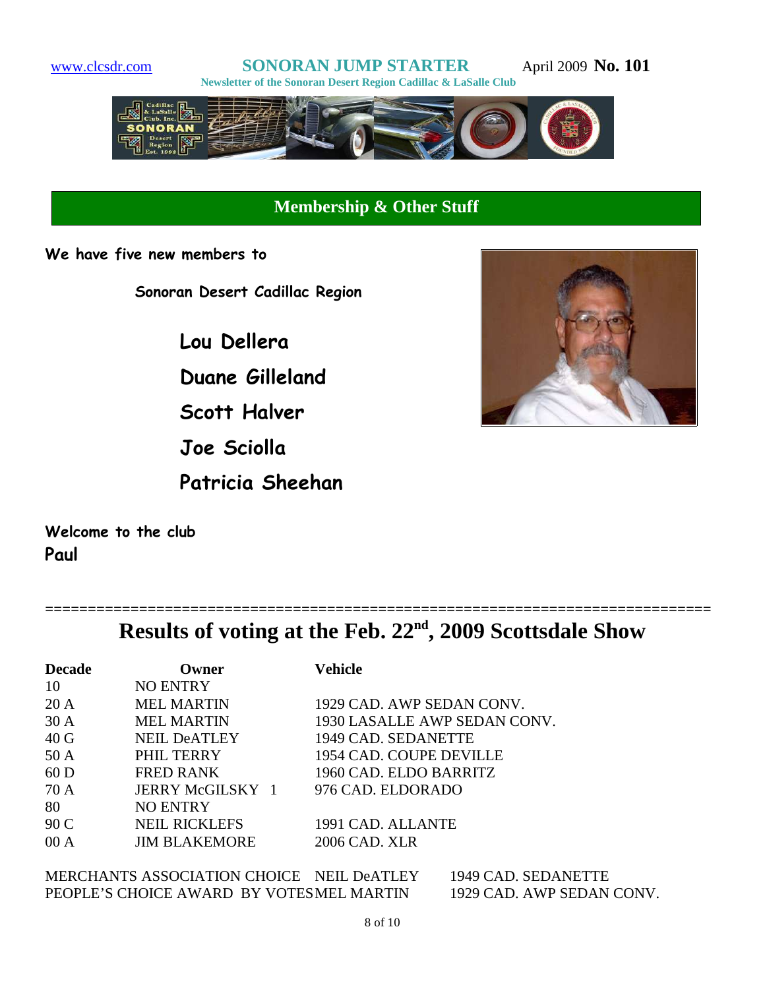

# **Membership & Other Stuff**

**We have five new members to**

**Sonoran Desert Cadillac Region**

**Lou Dellera Duane Gilleland Scott Halver Joe Sciolla Patricia Sheehan**



**Welcome to the club Paul**

| Results of voting at the Feb. 22 <sup>nd</sup> , 2009 Scottsdale Show |  |  |
|-----------------------------------------------------------------------|--|--|

| <b>Decade</b>   | Owner                | Vehicle                      |
|-----------------|----------------------|------------------------------|
| 10              | <b>NO ENTRY</b>      |                              |
| 20A             | <b>MEL MARTIN</b>    | 1929 CAD. AWP SEDAN CONV.    |
| 30 A            | <b>MEL MARTIN</b>    | 1930 LASALLE AWP SEDAN CONV. |
| 40 <sub>G</sub> | <b>NEIL DeATLEY</b>  | 1949 CAD. SEDANETTE          |
| 50A             | PHIL TERRY           | 1954 CAD. COUPE DEVILLE      |
| 60 <sub>D</sub> | <b>FRED RANK</b>     | 1960 CAD. ELDO BARRITZ       |
| 70 A            | JERRY McGILSKY 1     | 976 CAD. ELDORADO            |
| 80              | <b>NO ENTRY</b>      |                              |
| 90 C            | <b>NEIL RICKLEFS</b> | 1991 CAD. ALLANTE            |
| 00A             | <b>JIM BLAKEMORE</b> | 2006 CAD. XLR                |

MERCHANTS ASSOCIATION CHOICE NEIL DeATLEY 1949 CAD. SEDANETTE<br>PEOPLE'S CHOICE AWARD BY VOTESMEL MARTIN 1929 CAD. AWP SEDAN CONV. PEOPLE'S CHOICE AWARD BY VOTESMEL MARTIN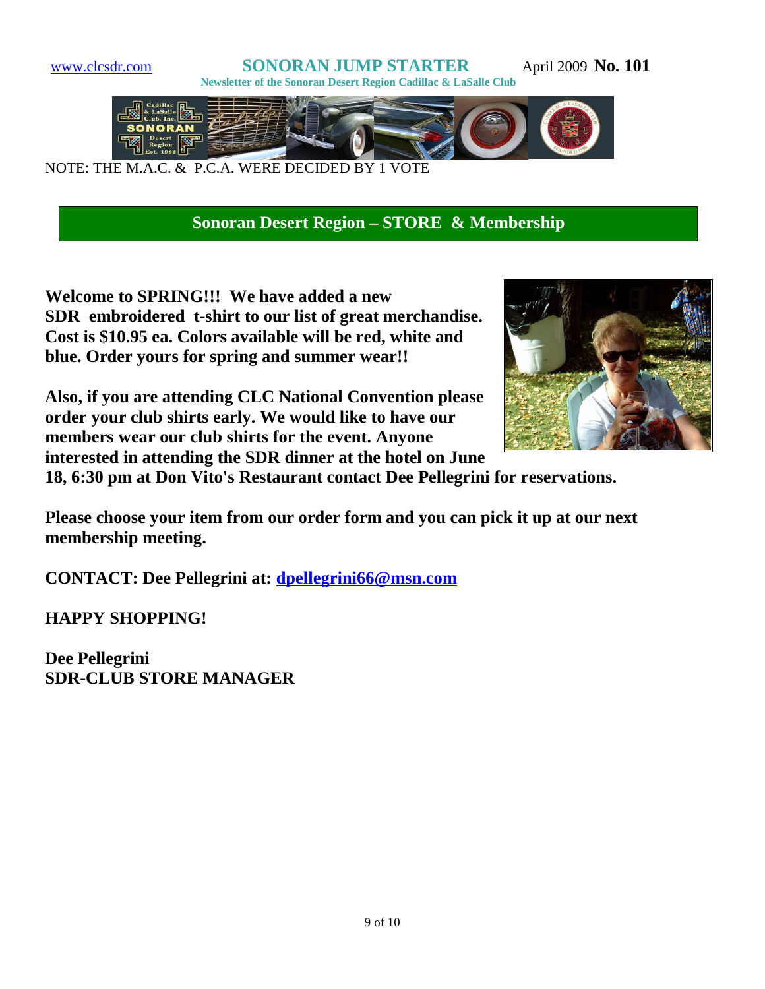

**Sonoran Desert Region – STORE & Membership**

**Welcome to SPRING!!! We have added a new SDR embroidered t-shirt to our list of great merchandise. Cost is \$10.95 ea. Colors available will be red, white and blue. Order yours for spring and summer wear!!**



**Also, if you are attending CLC National Convention please order your club shirts early. We would like to have our members wear our club shirts for the event. Anyone interested in attending the SDR dinner at the hotel on June**

**18, 6:30 pm at Don Vito's Restaurant contact Dee Pellegrini for reservations.**

**Please choose your item from our order form and you can pick it up at our next membership meeting.**

**CONTACT: Dee Pellegrini at: dpellegrini66@msn.com**

**HAPPY SHOPPING!**

**Dee Pellegrini SDR-CLUB STORE MANAGER**